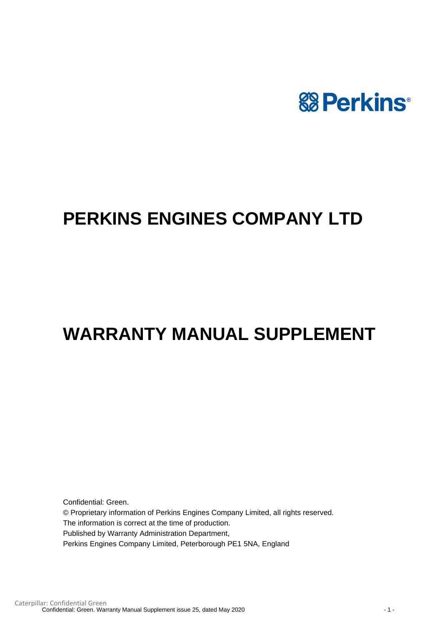

# **PERKINS ENGINES COMPANY LTD**

# **WARRANTY MANUAL SUPPLEMENT**

Confidential: Green. © Proprietary information of Perkins Engines Company Limited, all rights reserved. The information is correct at the time of production. Published by Warranty Administration Department, Perkins Engines Company Limited, Peterborough PE1 5NA, England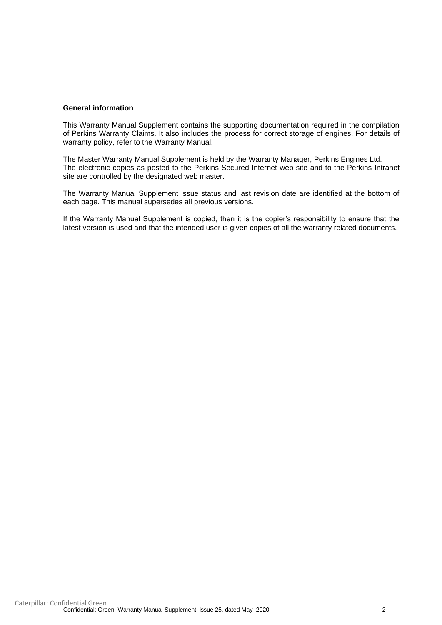#### **General information**

This Warranty Manual Supplement contains the supporting documentation required in the compilation of Perkins Warranty Claims. It also includes the process for correct storage of engines. For details of warranty policy, refer to the Warranty Manual.

The Master Warranty Manual Supplement is held by the Warranty Manager, Perkins Engines Ltd. The electronic copies as posted to the Perkins Secured Internet web site and to the Perkins Intranet site are controlled by the designated web master.

The Warranty Manual Supplement issue status and last revision date are identified at the bottom of each page. This manual supersedes all previous versions.

If the Warranty Manual Supplement is copied, then it is the copier's responsibility to ensure that the latest version is used and that the intended user is given copies of all the warranty related documents.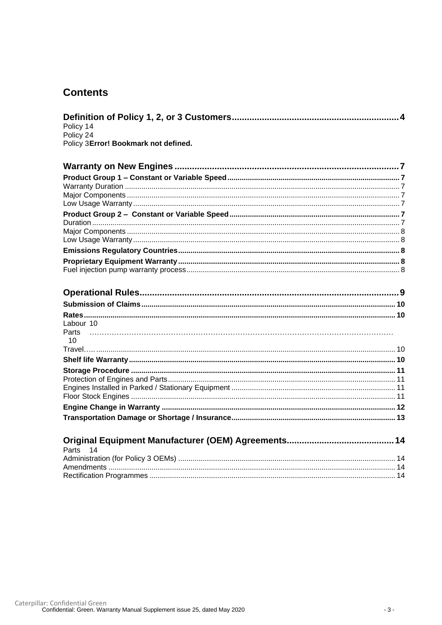# **Contents**

| Policy 14                            |  |
|--------------------------------------|--|
| Policy 24                            |  |
| Policy 3Error! Bookmark not defined. |  |
|                                      |  |
|                                      |  |
|                                      |  |
|                                      |  |
|                                      |  |
|                                      |  |
|                                      |  |
|                                      |  |
|                                      |  |
|                                      |  |
|                                      |  |
|                                      |  |
|                                      |  |
|                                      |  |
| Labour 10                            |  |
| <b>Parts</b>                         |  |
| 10                                   |  |
|                                      |  |
|                                      |  |
|                                      |  |
|                                      |  |
|                                      |  |
|                                      |  |
|                                      |  |
|                                      |  |
| Parts<br>14                          |  |
|                                      |  |
|                                      |  |
|                                      |  |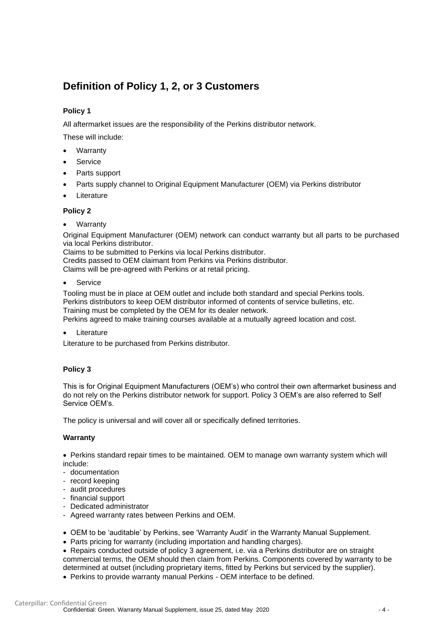# <span id="page-3-0"></span>**Definition of Policy 1, 2, or 3 Customers**

## <span id="page-3-1"></span>**Policy 1**

All aftermarket issues are the responsibility of the Perkins distributor network.

These will include:

- **Warranty**
- **Service**
- Parts support
- Parts supply channel to Original Equipment Manufacturer (OEM) via Perkins distributor
- **Literature**

#### <span id="page-3-2"></span>**Policy 2**

**Warranty** 

Original Equipment Manufacturer (OEM) network can conduct warranty but all parts to be purchased via local Perkins distributor.

Claims to be submitted to Perkins via local Perkins distributor.

Credits passed to OEM claimant from Perkins via Perkins distributor.

Claims will be pre-agreed with Perkins or at retail pricing.

**Service** 

Tooling must be in place at OEM outlet and include both standard and special Perkins tools. Perkins distributors to keep OEM distributor informed of contents of service bulletins, etc. Training must be completed by the OEM for its dealer network. Perkins agreed to make training courses available at a mutually agreed location and cost.

**Literature** 

Literature to be purchased from Perkins distributor.

#### **Policy 3**

This is for Original Equipment Manufacturers (OEM's) who control their own aftermarket business and do not rely on the Perkins distributor network for support. Policy 3 OEM's are also referred to Self Service OEM's.

The policy is universal and will cover all or specifically defined territories.

#### **Warranty**

• Perkins standard repair times to be maintained. OEM to manage own warranty system which will include:

- documentation
- record keeping
- audit procedures
- financial support
- Dedicated administrator
- Agreed warranty rates between Perkins and OEM.

• OEM to be 'auditable' by Perkins, see 'Warranty Audit' in the Warranty Manual Supplement.

• Parts pricing for warranty (including importation and handling charges).

• Repairs conducted outside of policy 3 agreement, i.e. via a Perkins distributor are on straight commercial terms, the OEM should then claim from Perkins. Components covered by warranty to be determined at outset (including proprietary items, fitted by Perkins but serviced by the supplier).

• Perkins to provide warranty manual Perkins - OEM interface to be defined.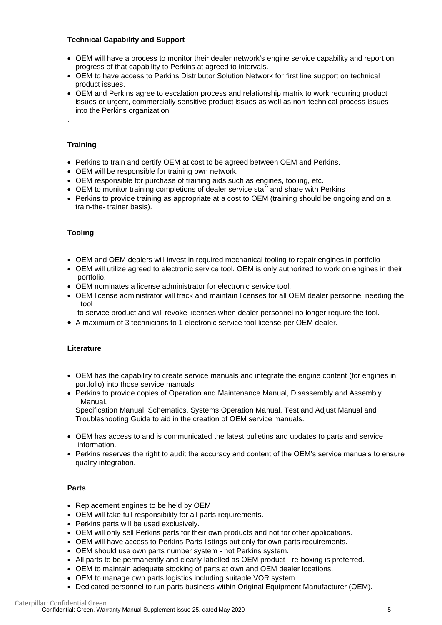#### **Technical Capability and Support**

- OEM will have a process to monitor their dealer network's engine service capability and report on progress of that capability to Perkins at agreed to intervals.
- OEM to have access to Perkins Distributor Solution Network for first line support on technical product issues.
- OEM and Perkins agree to escalation process and relationship matrix to work recurring product issues or urgent, commercially sensitive product issues as well as non-technical process issues into the Perkins organization

#### **Training**

.

- Perkins to train and certify OEM at cost to be agreed between OEM and Perkins.
- OEM will be responsible for training own network.
- OEM responsible for purchase of training aids such as engines, tooling, etc.
- OEM to monitor training completions of dealer service staff and share with Perkins
- Perkins to provide training as appropriate at a cost to OEM (training should be ongoing and on a train-the- trainer basis).

#### **Tooling**

- OEM and OEM dealers will invest in required mechanical tooling to repair engines in portfolio
- OEM will utilize agreed to electronic service tool. OEM is only authorized to work on engines in their portfolio.
- OEM nominates a license administrator for electronic service tool.
- OEM license administrator will track and maintain licenses for all OEM dealer personnel needing the tool

to service product and will revoke licenses when dealer personnel no longer require the tool.

• A maximum of 3 technicians to 1 electronic service tool license per OEM dealer.

#### **Literature**

- OEM has the capability to create service manuals and integrate the engine content (for engines in portfolio) into those service manuals
- Perkins to provide copies of Operation and Maintenance Manual, Disassembly and Assembly Manual,

 Specification Manual, Schematics, Systems Operation Manual, Test and Adjust Manual and Troubleshooting Guide to aid in the creation of OEM service manuals.

- OEM has access to and is communicated the latest bulletins and updates to parts and service information.
- Perkins reserves the right to audit the accuracy and content of the OEM's service manuals to ensure quality integration.

#### **Parts**

- Replacement engines to be held by OEM
- OEM will take full responsibility for all parts requirements.
- Perkins parts will be used exclusively.
- OEM will only sell Perkins parts for their own products and not for other applications.
- OEM will have access to Perkins Parts listings but only for own parts requirements.
- OEM should use own parts number system not Perkins system.
- All parts to be permanently and clearly labelled as OEM product re-boxing is preferred.
- OEM to maintain adequate stocking of parts at own and OEM dealer locations.
- OEM to manage own parts logistics including suitable VOR system.
- Dedicated personnel to run parts business within Original Equipment Manufacturer (OEM).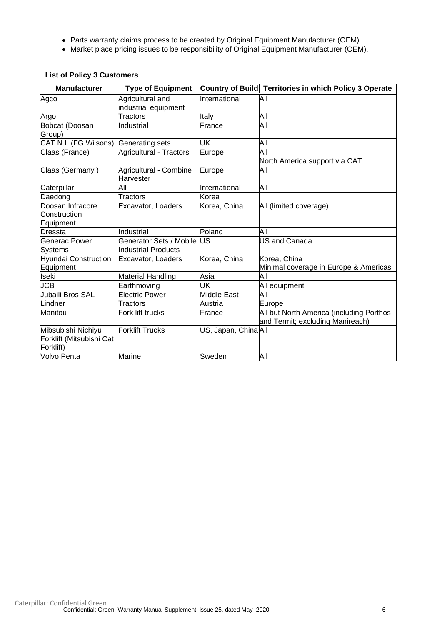- Parts warranty claims process to be created by Original Equipment Manufacturer (OEM).
- Market place pricing issues to be responsibility of Original Equipment Manufacturer (OEM).

### **List of Policy 3 Customers**

| <b>Manufacturer</b>                                         | <b>Type of Equipment</b>                              |                      | Country of Build Territories in which Policy 3 Operate                       |
|-------------------------------------------------------------|-------------------------------------------------------|----------------------|------------------------------------------------------------------------------|
| Agco                                                        | Agricultural and<br>industrial equipment              | International        | All                                                                          |
| Argo                                                        | Tractors                                              | Italy                | All                                                                          |
| Bobcat (Doosan<br>Group)                                    | Industrial                                            | France               | All                                                                          |
| CAT N.I. (FG Wilsons)                                       | Generating sets                                       | UK                   | All                                                                          |
| Claas (France)                                              | Agricultural - Tractors                               | Europe               | All<br>North America support via CAT                                         |
| Claas (Germany)                                             | Agricultural - Combine<br>Harvester                   | Europe               | All                                                                          |
| Caterpillar                                                 | All                                                   | International        | All                                                                          |
| Daedong                                                     | Tractors                                              | Korea                |                                                                              |
| Doosan Infracore<br>Construction<br>Equipment               | <b>Excavator, Loaders</b>                             | Korea, China         | All (limited coverage)                                                       |
| Dressta                                                     | Industrial                                            | Poland               | All                                                                          |
| Generac Power<br><b>Systems</b>                             | Generator Sets / Mobile<br><b>Industrial Products</b> | US                   | US and Canada                                                                |
| <b>Hyundai Construction</b><br>Equipment                    | Excavator, Loaders                                    | Korea, China         | Korea, China<br>Minimal coverage in Europe & Americas                        |
| Iseki                                                       | <b>Material Handling</b>                              | Asia                 | All                                                                          |
| <b>JCB</b>                                                  | Earthmoving                                           | UK                   | All equipment                                                                |
| Jubaili Bros SAL                                            | <b>Electric Power</b>                                 | Middle East          | All                                                                          |
| Lindner                                                     | Tractors                                              | Austria              | Europe                                                                       |
| Manitou                                                     | Fork lift trucks                                      | France               | All but North America (including Porthos<br>and Termit; excluding Manireach) |
| Mibsubishi Nichiyu<br>Forklift (Mitsubishi Cat<br>Forklift) | <b>Forklift Trucks</b>                                | US, Japan, China All |                                                                              |
| Volvo Penta                                                 | <b>Marine</b>                                         | Sweden               | All                                                                          |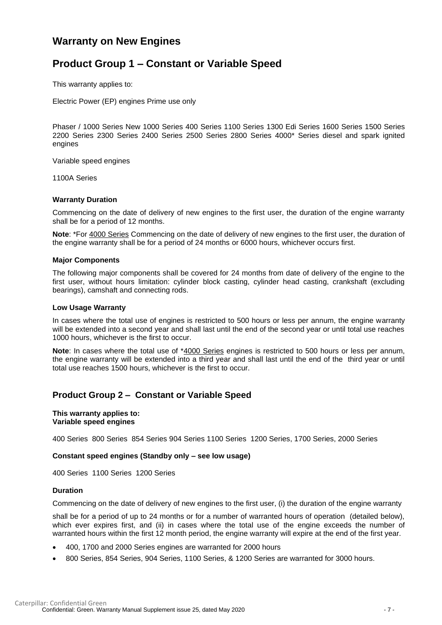# <span id="page-6-1"></span><span id="page-6-0"></span>**Warranty on New Engines**

# **Product Group 1 – Constant or Variable Speed**

This warranty applies to:

Electric Power (EP) engines Prime use only

Phaser / 1000 Series New 1000 Series 400 Series 1100 Series 1300 Edi Series 1600 Series 1500 Series 2200 Series 2300 Series 2400 Series 2500 Series 2800 Series 4000\* Series diesel and spark ignited engines

Variable speed engines

1100A Series

#### <span id="page-6-2"></span>**Warranty Duration**

Commencing on the date of delivery of new engines to the first user, the duration of the engine warranty shall be for a period of 12 months.

**Note**: \*For 4000 Series Commencing on the date of delivery of new engines to the first user, the duration of the engine warranty shall be for a period of 24 months or 6000 hours, whichever occurs first.

#### <span id="page-6-3"></span>**Major Components**

The following major components shall be covered for 24 months from date of delivery of the engine to the first user, without hours limitation: cylinder block casting, cylinder head casting, crankshaft (excluding bearings), camshaft and connecting rods.

#### <span id="page-6-4"></span>**Low Usage Warranty**

In cases where the total use of engines is restricted to 500 hours or less per annum, the engine warranty will be extended into a second year and shall last until the end of the second year or until total use reaches 1000 hours, whichever is the first to occur.

Note: In cases where the total use of \*4000 Series engines is restricted to 500 hours or less per annum, the engine warranty will be extended into a third year and shall last until the end of the third year or until total use reaches 1500 hours, whichever is the first to occur.

# <span id="page-6-5"></span>**Product Group 2 – Constant or Variable Speed**

**This warranty applies to: Variable speed engines**

400 Series 800 Series 854 Series 904 Series 1100 Series 1200 Series, 1700 Series, 2000 Series

#### **Constant speed engines (Standby only – see low usage)**

400 Series 1100 Series 1200 Series

#### <span id="page-6-6"></span>**Duration**

Commencing on the date of delivery of new engines to the first user, (i) the duration of the engine warranty

shall be for a period of up to 24 months or for a number of warranted hours of operation (detailed below), which ever expires first, and (ii) in cases where the total use of the engine exceeds the number of warranted hours within the first 12 month period, the engine warranty will expire at the end of the first year.

- 400, 1700 and 2000 Series engines are warranted for 2000 hours
- <span id="page-6-7"></span>• 800 Series, 854 Series, 904 Series, 1100 Series, & 1200 Series are warranted for 3000 hours.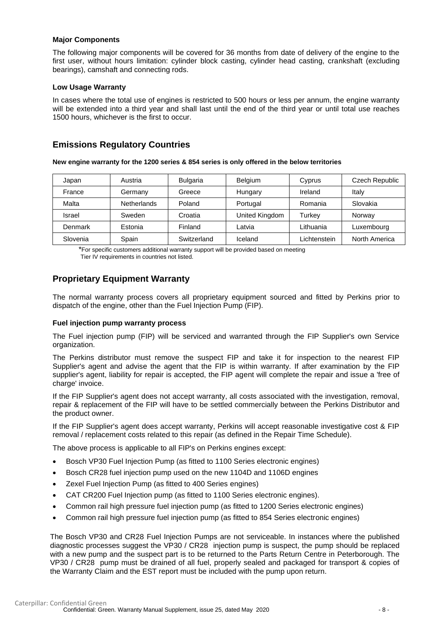#### **Major Components**

The following major components will be covered for 36 months from date of delivery of the engine to the first user, without hours limitation: cylinder block casting, cylinder head casting, crankshaft (excluding bearings), camshaft and connecting rods.

#### <span id="page-7-0"></span>**Low Usage Warranty**

In cases where the total use of engines is restricted to 500 hours or less per annum, the engine warranty will be extended into a third year and shall last until the end of the third year or until total use reaches 1500 hours, whichever is the first to occur.

## <span id="page-7-1"></span>**Emissions Regulatory Countries**

#### **New engine warranty for the 1200 series & 854 series is only offered in the below territories**

| Japan    | Austria            | <b>Bulgaria</b> | <b>Belgium</b> | Cyprus       | Czech Republic |
|----------|--------------------|-----------------|----------------|--------------|----------------|
| France   | Germany            | Greece          | Hungary        | Ireland      | Italy          |
| Malta    | <b>Netherlands</b> | Poland          | Portugal       | Romania      | Slovakia       |
| Israel   | Sweden             | Croatia         | United Kingdom | Turkey       | Norway         |
| Denmark  | Estonia            | Finland         | Latvia         | ∟ithuania    | Luxembourg     |
| Slovenia | Spain              | Switzerland     | Iceland        | Lichtenstein | North America  |

 \*For specific customers additional warranty support will be provided based on meeting Tier IV requirements in countries not listed.

# <span id="page-7-2"></span>**Proprietary Equipment Warranty**

The normal warranty process covers all proprietary equipment sourced and fitted by Perkins prior to dispatch of the engine, other than the Fuel Injection Pump (FIP).

#### <span id="page-7-3"></span>**Fuel injection pump warranty process**

The Fuel injection pump (FIP) will be serviced and warranted through the FIP Supplier's own Service organization.

The Perkins distributor must remove the suspect FIP and take it for inspection to the nearest FIP Supplier's agent and advise the agent that the FIP is within warranty. If after examination by the FIP supplier's agent, liability for repair is accepted, the FIP agent will complete the repair and issue a 'free of charge' invoice.

If the FIP Supplier's agent does not accept warranty, all costs associated with the investigation, removal, repair & replacement of the FIP will have to be settled commercially between the Perkins Distributor and the product owner.

If the FIP Supplier's agent does accept warranty, Perkins will accept reasonable investigative cost & FIP removal / replacement costs related to this repair (as defined in the Repair Time Schedule).

The above process is applicable to all FIP's on Perkins engines except:

- Bosch VP30 Fuel Injection Pump (as fitted to 1100 Series electronic engines)
- Bosch CR28 fuel injection pump used on the new 1104D and 1106D engines
- Zexel Fuel Injection Pump (as fitted to 400 Series engines)
- CAT CR200 Fuel Injection pump (as fitted to 1100 Series electronic engines).
- Common rail high pressure fuel injection pump (as fitted to 1200 Series electronic engines)
- Common rail high pressure fuel injection pump (as fitted to 854 Series electronic engines)

The Bosch VP30 and CR28 Fuel Injection Pumps are not serviceable. In instances where the published diagnostic processes suggest the VP30 / CR28 injection pump is suspect, the pump should be replaced with a new pump and the suspect part is to be returned to the Parts Return Centre in Peterborough. The VP30 / CR28 pump must be drained of all fuel, properly sealed and packaged for transport & copies of the Warranty Claim and the EST report must be included with the pump upon return.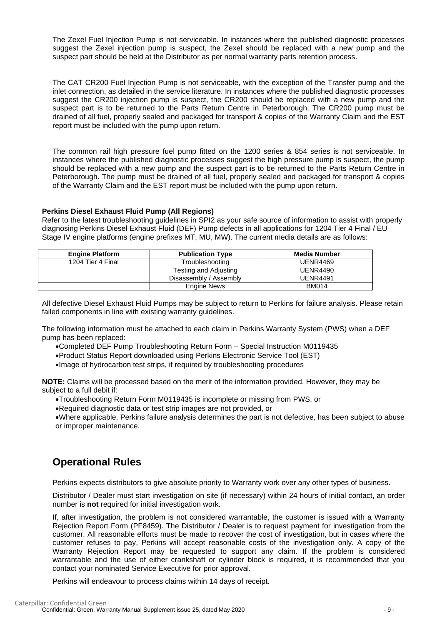The Zexel Fuel Injection Pump is not serviceable. In instances where the published diagnostic processes suggest the Zexel injection pump is suspect, the Zexel should be replaced with a new pump and the suspect part should be held at the Distributor as per normal warranty parts retention process.

The CAT CR200 Fuel Injection Pump is not serviceable, with the exception of the Transfer pump and the inlet connection, as detailed in the service literature. In instances where the published diagnostic processes suggest the CR200 injection pump is suspect, the CR200 should be replaced with a new pump and the suspect part is to be returned to the Parts Return Centre in Peterborough. The CR200 pump must be drained of all fuel, properly sealed and packaged for transport & copies of the Warranty Claim and the EST report must be included with the pump upon return.

The common rail high pressure fuel pump fitted on the 1200 series & 854 series is not serviceable. In instances where the published diagnostic processes suggest the high pressure pump is suspect, the pump should be replaced with a new pump and the suspect part is to be returned to the Parts Return Centre in Peterborough. The pump must be drained of all fuel, properly sealed and packaged for transport & copies of the Warranty Claim and the EST report must be included with the pump upon return.

#### **Perkins Diesel Exhaust Fluid Pump (All Regions)**

Refer to the latest troubleshooting guidelines in SPI2 as your safe source of information to assist with properly diagnosing Perkins Diesel Exhaust Fluid (DEF) Pump defects in all applications for 1204 Tier 4 Final / EU Stage IV engine platforms (engine prefixes MT, MU, MW). The current media details are as follows:

| <b>Engine Platform</b> | <b>Publication Type</b> | Media Number    |
|------------------------|-------------------------|-----------------|
| 1204 Tier 4 Final      | Troubleshootina         | <b>UENR4469</b> |
|                        | Testing and Adjusting   | <b>UENR4490</b> |
|                        | Disassembly / Assembly  | <b>UENR4491</b> |
|                        | <b>Engine News</b>      | <b>BM014</b>    |

All defective Diesel Exhaust Fluid Pumps may be subject to return to Perkins for failure analysis. Please retain failed components in line with existing warranty guidelines.

The following information must be attached to each claim in Perkins Warranty System (PWS) when a DEF pump has been replaced:

- •Completed DEF Pump Troubleshooting Return Form Special Instruction M0119435
- •Product Status Report downloaded using Perkins Electronic Service Tool (EST)
- •Image of hydrocarbon test strips, if required by troubleshooting procedures

**NOTE:** Claims will be processed based on the merit of the information provided. However, they may be subject to a full debit if:

- •Troubleshooting Return Form M0119435 is incomplete or missing from PWS, or
- •Required diagnostic data or test strip images are not provided, or

•Where applicable, Perkins failure analysis determines the part is not defective, has been subject to abuse or improper maintenance.

# <span id="page-8-0"></span>**Operational Rules**

Perkins expects distributors to give absolute priority to Warranty work over any other types of business.

Distributor / Dealer must start investigation on site (if necessary) within 24 hours of initial contact, an order number is **not** required for initial investigation work.

If, after investigation, the problem is not considered warrantable, the customer is issued with a Warranty Rejection Report Form (PF8459). The Distributor / Dealer is to request payment for investigation from the customer. All reasonable efforts must be made to recover the cost of investigation, but in cases where the customer refuses to pay, Perkins will accept reasonable costs of the investigation only. A copy of the Warranty Rejection Report may be requested to support any claim. If the problem is considered warrantable and the use of either crankshaft or cylinder block is required, it is recommended that you contact your nominated Service Executive for prior approval.

Perkins will endeavour to process claims within 14 days of receipt.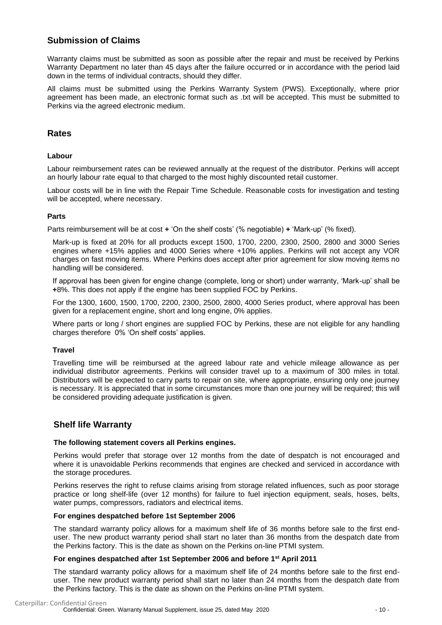## <span id="page-9-0"></span>**Submission of Claims**

Warranty claims must be submitted as soon as possible after the repair and must be received by Perkins Warranty Department no later than 45 days after the failure occurred or in accordance with the period laid down in the terms of individual contracts, should they differ.

All claims must be submitted using the Perkins Warranty System (PWS). Exceptionally, where prior agreement has been made, an electronic format such as .txt will be accepted. This must be submitted to Perkins via the agreed electronic medium.

## <span id="page-9-1"></span>**Rates**

#### <span id="page-9-2"></span>**Labour**

Labour reimbursement rates can be reviewed annually at the request of the distributor. Perkins will accept an hourly labour rate equal to that charged to the most highly discounted retail customer.

Labour costs will be in line with the Repair Time Schedule. Reasonable costs for investigation and testing will be accepted, where necessary.

#### <span id="page-9-3"></span>**Parts**

Parts reimbursement will be at cost **+** 'On the shelf costs' (% negotiable) **+** 'Mark-up' (% fixed).

Mark-up is fixed at 20% for all products except 1500, 1700, 2200, 2300, 2500, 2800 and 3000 Series engines where +15% applies and 4000 Series where +10% applies. Perkins will not accept any VOR charges on fast moving items. Where Perkins does accept after prior agreement for slow moving items no handling will be considered.

If approval has been given for engine change (complete, long or short) under warranty, 'Mark-up' shall be **+**8%. This does not apply if the engine has been supplied FOC by Perkins.

For the 1300, 1600, 1500, 1700, 2200, 2300, 2500, 2800, 4000 Series product, where approval has been given for a replacement engine, short and long engine, 0% applies.

Where parts or long / short engines are supplied FOC by Perkins, these are not eligible for any handling charges therefore 0% 'On shelf costs' applies.

#### <span id="page-9-4"></span>**Travel**

Travelling time will be reimbursed at the agreed labour rate and vehicle mileage allowance as per individual distributor agreements. Perkins will consider travel up to a maximum of 300 miles in total. Distributors will be expected to carry parts to repair on site, where appropriate, ensuring only one journey is necessary. It is appreciated that in some circumstances more than one journey will be required; this will be considered providing adequate justification is given.

## <span id="page-9-5"></span>**Shelf life Warranty**

#### **The following statement covers all Perkins engines.**

Perkins would prefer that storage over 12 months from the date of despatch is not encouraged and where it is unavoidable Perkins recommends that engines are checked and serviced in accordance with the storage procedures.

Perkins reserves the right to refuse claims arising from storage related influences, such as poor storage practice or long shelf-life (over 12 months) for failure to fuel injection equipment, seals, hoses, belts, water pumps, compressors, radiators and electrical items.

#### **For engines despatched before 1st September 2006**

The standard warranty policy allows for a maximum shelf life of 36 months before sale to the first enduser. The new product warranty period shall start no later than 36 months from the despatch date from the Perkins factory. This is the date as shown on the Perkins on-line PTMI system.

#### **For engines despatched after 1st September 2006 and before 1st April 2011**

The standard warranty policy allows for a maximum shelf life of 24 months before sale to the first enduser. The new product warranty period shall start no later than 24 months from the despatch date from the Perkins factory. This is the date as shown on the Perkins on-line PTMI system.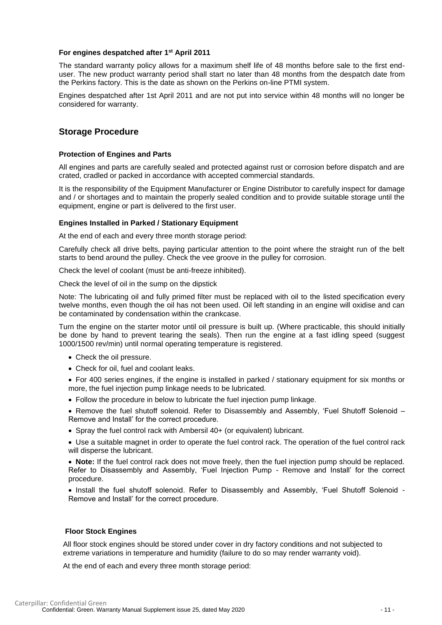#### **For engines despatched after 1st April 2011**

The standard warranty policy allows for a maximum shelf life of 48 months before sale to the first enduser. The new product warranty period shall start no later than 48 months from the despatch date from the Perkins factory. This is the date as shown on the Perkins on-line PTMI system.

Engines despatched after 1st April 2011 and are not put into service within 48 months will no longer be considered for warranty.

## <span id="page-10-0"></span>**Storage Procedure**

#### <span id="page-10-1"></span>**Protection of Engines and Parts**

All engines and parts are carefully sealed and protected against rust or corrosion before dispatch and are crated, cradled or packed in accordance with accepted commercial standards.

It is the responsibility of the Equipment Manufacturer or Engine Distributor to carefully inspect for damage and / or shortages and to maintain the properly sealed condition and to provide suitable storage until the equipment, engine or part is delivered to the first user.

#### <span id="page-10-2"></span>**Engines Installed in Parked / Stationary Equipment**

At the end of each and every three month storage period:

Carefully check all drive belts, paying particular attention to the point where the straight run of the belt starts to bend around the pulley. Check the vee groove in the pulley for corrosion.

Check the level of coolant (must be anti-freeze inhibited).

Check the level of oil in the sump on the dipstick

Note: The lubricating oil and fully primed filter must be replaced with oil to the listed specification every twelve months, even though the oil has not been used. Oil left standing in an engine will oxidise and can be contaminated by condensation within the crankcase.

Turn the engine on the starter motor until oil pressure is built up. (Where practicable, this should initially be done by hand to prevent tearing the seals). Then run the engine at a fast idling speed (suggest 1000/1500 rev/min) until normal operating temperature is registered.

- Check the oil pressure.
- Check for oil, fuel and coolant leaks.
- For 400 series engines, if the engine is installed in parked / stationary equipment for six months or more, the fuel injection pump linkage needs to be lubricated.
- Follow the procedure in below to lubricate the fuel injection pump linkage.

• Remove the fuel shutoff solenoid. Refer to Disassembly and Assembly, 'Fuel Shutoff Solenoid – Remove and Install' for the correct procedure.

• Spray the fuel control rack with Ambersil 40+ (or equivalent) lubricant.

• Use a suitable magnet in order to operate the fuel control rack. The operation of the fuel control rack will disperse the lubricant.

• **Note:** If the fuel control rack does not move freely, then the fuel injection pump should be replaced. Refer to Disassembly and Assembly, 'Fuel Injection Pump - Remove and Install' for the correct procedure.

• Install the fuel shutoff solenoid. Refer to Disassembly and Assembly, 'Fuel Shutoff Solenoid - Remove and Install' for the correct procedure.

#### <span id="page-10-3"></span>**Floor Stock Engines**

All floor stock engines should be stored under cover in dry factory conditions and not subjected to extreme variations in temperature and humidity (failure to do so may render warranty void).

At the end of each and every three month storage period: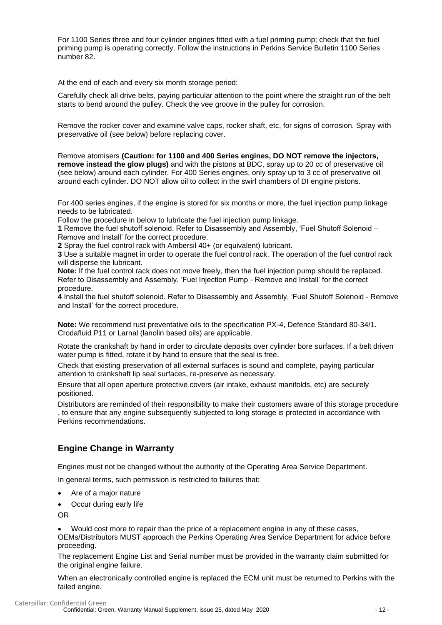For 1100 Series three and four cylinder engines fitted with a fuel priming pump; check that the fuel priming pump is operating correctly. Follow the instructions in Perkins Service Bulletin 1100 Series number 82.

At the end of each and every six month storage period:

Carefully check all drive belts, paying particular attention to the point where the straight run of the belt starts to bend around the pulley. Check the vee groove in the pulley for corrosion.

Remove the rocker cover and examine valve caps, rocker shaft, etc, for signs of corrosion. Spray with preservative oil (see below) before replacing cover.

Remove atomisers **(Caution: for 1100 and 400 Series engines, DO NOT remove the injectors, remove instead the glow plugs)** and with the pistons at BDC, spray up to 20 cc of preservative oil (see below) around each cylinder. For 400 Series engines, only spray up to 3 cc of preservative oil around each cylinder. DO NOT allow oil to collect in the swirl chambers of DI engine pistons.

For 400 series engines, if the engine is stored for six months or more, the fuel injection pump linkage needs to be lubricated.

Follow the procedure in below to lubricate the fuel injection pump linkage.

**1** Remove the fuel shutoff solenoid. Refer to Disassembly and Assembly, 'Fuel Shutoff Solenoid – Remove and Install' for the correct procedure.

**2** Spray the fuel control rack with Ambersil 40+ (or equivalent) lubricant.

**3** Use a suitable magnet in order to operate the fuel control rack. The operation of the fuel control rack will disperse the lubricant.

**Note:** If the fuel control rack does not move freely, then the fuel injection pump should be replaced. Refer to Disassembly and Assembly, 'Fuel Injection Pump - Remove and Install' for the correct procedure.

**4** Install the fuel shutoff solenoid. Refer to Disassembly and Assembly, 'Fuel Shutoff Solenoid - Remove and Install' for the correct procedure.

**Note:** We recommend rust preventative oils to the specification PX-4, Defence Standard 80-34/1. Crodafluid P11 or Larnal (lanolin based oils) are applicable.

Rotate the crankshaft by hand in order to circulate deposits over cylinder bore surfaces. If a belt driven water pump is fitted, rotate it by hand to ensure that the seal is free.

Check that existing preservation of all external surfaces is sound and complete, paying particular attention to crankshaft lip seal surfaces, re-preserve as necessary.

Ensure that all open aperture protective covers (air intake, exhaust manifolds, etc) are securely positioned.

Distributors are reminded of their responsibility to make their customers aware of this storage procedure , to ensure that any engine subsequently subjected to long storage is protected in accordance with Perkins recommendations.

# <span id="page-11-0"></span>**Engine Change in Warranty**

Engines must not be changed without the authority of the Operating Area Service Department.

In general terms, such permission is restricted to failures that:

- Are of a major nature
- Occur during early life

OR

• Would cost more to repair than the price of a replacement engine in any of these cases, OEMs/Distributors MUST approach the Perkins Operating Area Service Department for advice before proceeding.

The replacement Engine List and Serial number must be provided in the warranty claim submitted for the original engine failure.

When an electronically controlled engine is replaced the ECM unit must be returned to Perkins with the failed engine.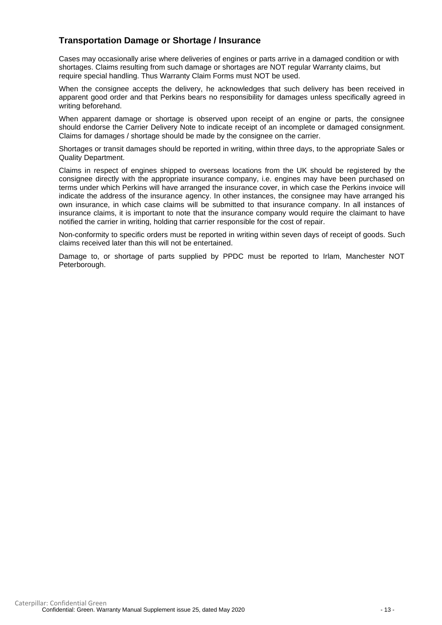# <span id="page-12-0"></span>**Transportation Damage or Shortage / Insurance**

Cases may occasionally arise where deliveries of engines or parts arrive in a damaged condition or with shortages. Claims resulting from such damage or shortages are NOT regular Warranty claims, but require special handling. Thus Warranty Claim Forms must NOT be used.

When the consignee accepts the delivery, he acknowledges that such delivery has been received in apparent good order and that Perkins bears no responsibility for damages unless specifically agreed in writing beforehand.

When apparent damage or shortage is observed upon receipt of an engine or parts, the consignee should endorse the Carrier Delivery Note to indicate receipt of an incomplete or damaged consignment. Claims for damages / shortage should be made by the consignee on the carrier.

Shortages or transit damages should be reported in writing, within three days, to the appropriate Sales or Quality Department.

Claims in respect of engines shipped to overseas locations from the UK should be registered by the consignee directly with the appropriate insurance company, i.e. engines may have been purchased on terms under which Perkins will have arranged the insurance cover, in which case the Perkins invoice will indicate the address of the insurance agency. In other instances, the consignee may have arranged his own insurance, in which case claims will be submitted to that insurance company. In all instances of insurance claims, it is important to note that the insurance company would require the claimant to have notified the carrier in writing, holding that carrier responsible for the cost of repair.

Non-conformity to specific orders must be reported in writing within seven days of receipt of goods. Such claims received later than this will not be entertained.

Damage to, or shortage of parts supplied by PPDC must be reported to Irlam, Manchester NOT Peterborough.